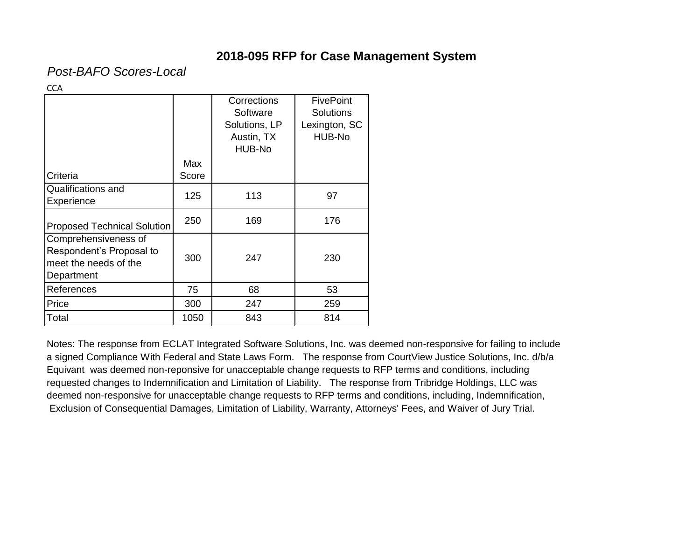*Post-BAFO Scores-Local*

**CCA** 

|                                                                                         |              | Corrections<br>Software<br>Solutions, LP | <b>FivePoint</b><br><b>Solutions</b><br>Lexington, SC |
|-----------------------------------------------------------------------------------------|--------------|------------------------------------------|-------------------------------------------------------|
|                                                                                         |              | Austin, TX<br>HUB-No                     | HUB-No                                                |
| Criteria                                                                                | Max<br>Score |                                          |                                                       |
| <b>Qualifications and</b><br><b>Experience</b>                                          | 125          | 113                                      | 97                                                    |
| <b>Proposed Technical Solution</b>                                                      | 250          | 169                                      | 176                                                   |
| Comprehensiveness of<br>Respondent's Proposal to<br>meet the needs of the<br>Department | 300          | 247                                      | 230                                                   |
| References                                                                              | 75           | 68                                       | 53                                                    |
| Price                                                                                   | 300          | 247                                      | 259                                                   |
| Total                                                                                   | 1050         | 843                                      | 814                                                   |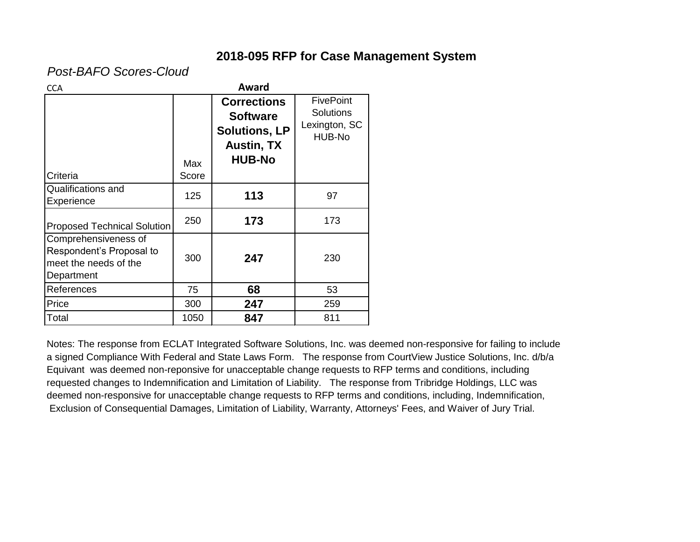*Post-BAFO Scores-Cloud*

| <b>CCA</b>                                                                              |              | Award                                                                                               |                                                                 |
|-----------------------------------------------------------------------------------------|--------------|-----------------------------------------------------------------------------------------------------|-----------------------------------------------------------------|
| Criteria                                                                                | Max<br>Score | <b>Corrections</b><br><b>Software</b><br><b>Solutions, LP</b><br><b>Austin, TX</b><br><b>HUB-No</b> | <b>FivePoint</b><br><b>Solutions</b><br>Lexington, SC<br>HUB-No |
| Qualifications and<br>Experience                                                        | 125          | 113                                                                                                 | 97                                                              |
| <b>Proposed Technical Solution</b>                                                      | 250          | 173                                                                                                 | 173                                                             |
| Comprehensiveness of<br>Respondent's Proposal to<br>meet the needs of the<br>Department | 300          | 247                                                                                                 | 230                                                             |
| References                                                                              | 75           | 68                                                                                                  | 53                                                              |
| Price                                                                                   | 300          | 247                                                                                                 | 259                                                             |
| Total                                                                                   | 1050         | 847                                                                                                 | 811                                                             |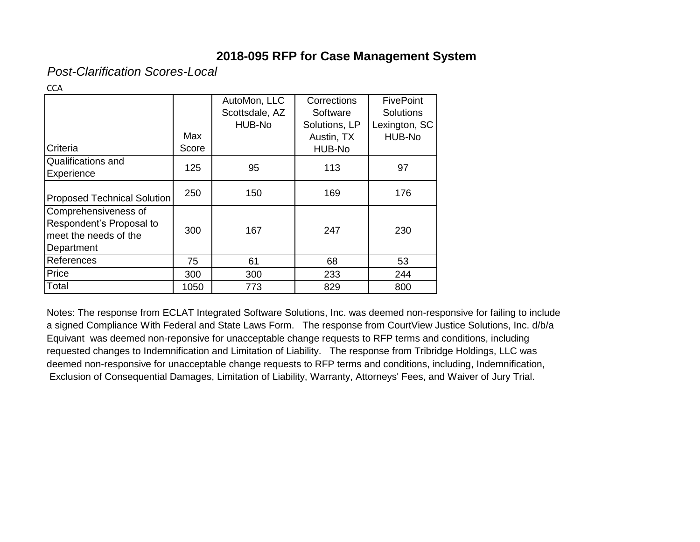*Post-Clarification Scores-Local*

|                                    |       | AutoMon, LLC   | Corrections   | <b>FivePoint</b> |
|------------------------------------|-------|----------------|---------------|------------------|
|                                    |       | Scottsdale, AZ | Software      | <b>Solutions</b> |
|                                    |       | HUB-No         | Solutions, LP | Lexington, SC    |
|                                    | Max   |                | Austin, TX    | HUB-No           |
| Criteria                           | Score |                | HUB-No        |                  |
| Qualifications and                 |       |                |               |                  |
| Experience                         | 125   | 95             | 113           | 97               |
|                                    | 250   | 150            | 169           | 176              |
| <b>Proposed Technical Solution</b> |       |                |               |                  |
| Comprehensiveness of               |       |                |               |                  |
| Respondent's Proposal to           |       |                |               |                  |
| meet the needs of the              | 300   | 167            | 247           | 230              |
| Department                         |       |                |               |                  |
| References                         | 75    | 61             | 68            | 53               |
| Price                              | 300   | 300            | 233           | 244              |
| Total                              | 1050  | 773            | 829           | 800              |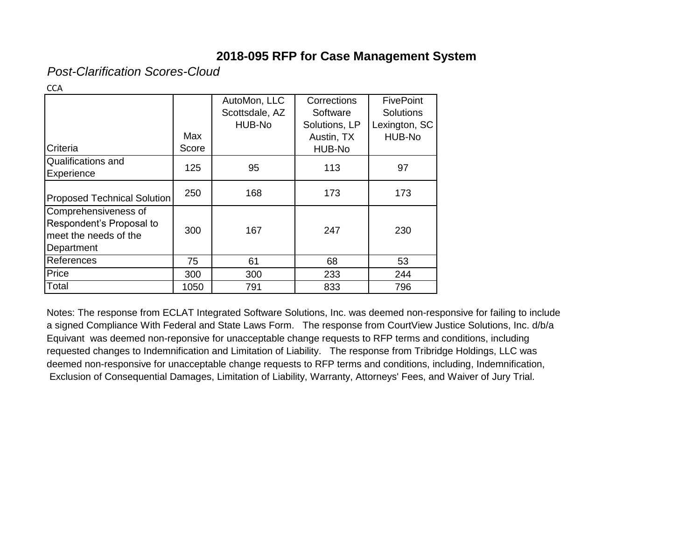*Post-Clarification Scores-Cloud*

| . .<br>w<br>۰.<br>M. |
|----------------------|
|----------------------|

|                                                                                         |              | AutoMon, LLC<br>Scottsdale, AZ<br>HUB-No | Corrections<br>Software<br>Solutions, LP | <b>FivePoint</b><br><b>Solutions</b><br>Lexington, SC |
|-----------------------------------------------------------------------------------------|--------------|------------------------------------------|------------------------------------------|-------------------------------------------------------|
| Criteria                                                                                | Max<br>Score |                                          | Austin, TX<br>HUB-No                     | HUB-No                                                |
| Qualifications and<br>Experience                                                        | 125          | 95                                       | 113                                      | 97                                                    |
| <b>Proposed Technical Solution</b>                                                      | 250          | 168                                      | 173                                      | 173                                                   |
| Comprehensiveness of<br>Respondent's Proposal to<br>meet the needs of the<br>Department | 300          | 167                                      | 247                                      | 230                                                   |
| References                                                                              | 75           | 61                                       | 68                                       | 53                                                    |
| Price                                                                                   | 300          | 300                                      | 233                                      | 244                                                   |
| Total                                                                                   | 1050         | 791                                      | 833                                      | 796                                                   |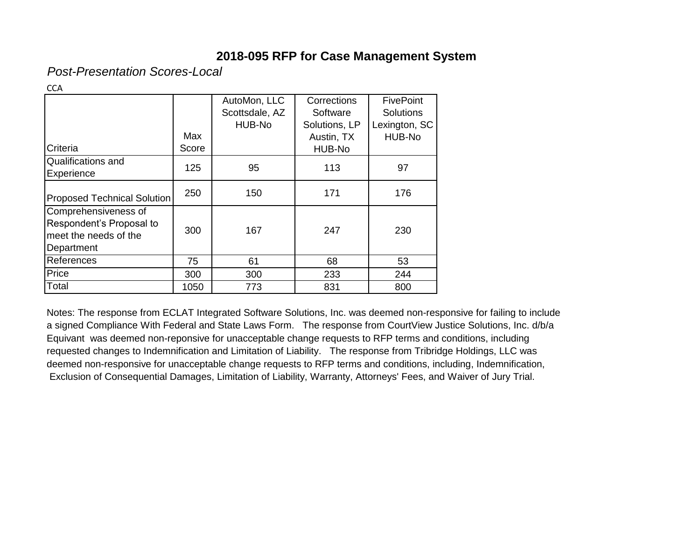*Post-Presentation Scores-Local*

|                             |       | AutoMon, LLC   | Corrections   | <b>FivePoint</b> |
|-----------------------------|-------|----------------|---------------|------------------|
|                             |       | Scottsdale, AZ | Software      | <b>Solutions</b> |
|                             |       | HUB-No         | Solutions, LP | Lexington, SC    |
|                             | Max   |                | Austin, TX    | HUB-No           |
| Criteria                    | Score |                | HUB-No        |                  |
| Qualifications and          | 125   | 95             | 113           | 97               |
| Experience                  |       |                |               |                  |
|                             | 250   | 150            | 171           | 176              |
| Proposed Technical Solution |       |                |               |                  |
| Comprehensiveness of        |       |                |               |                  |
| Respondent's Proposal to    | 300   | 167            | 247           | 230              |
| meet the needs of the       |       |                |               |                  |
| Department                  |       |                |               |                  |
| References                  | 75    | 61             | 68            | 53               |
| Price                       | 300   | 300            | 233           | 244              |
| Total                       | 1050  | 773            | 831           | 800              |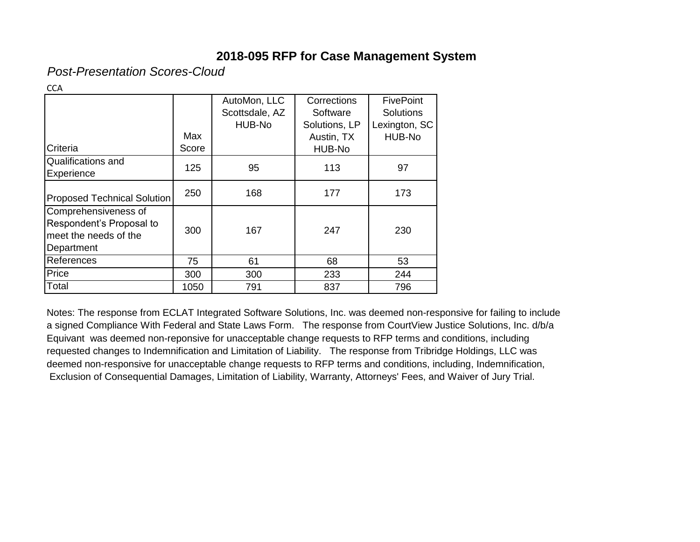*Post-Presentation Scores-Cloud*

| .<br>v<br>v<br>M. |
|-------------------|
|-------------------|

|                                    |       | AutoMon, LLC   | Corrections   | <b>FivePoint</b> |
|------------------------------------|-------|----------------|---------------|------------------|
|                                    |       | Scottsdale, AZ | Software      | <b>Solutions</b> |
|                                    |       | HUB-No         | Solutions, LP | Lexington, SC    |
|                                    | Max   |                | Austin, TX    | HUB-No           |
| Criteria                           | Score |                | HUB-No        |                  |
| Qualifications and                 | 125   |                | 113           | 97               |
| Experience                         |       | 95             |               |                  |
|                                    | 250   | 168            | 177           | 173              |
| <b>Proposed Technical Solution</b> |       |                |               |                  |
| Comprehensiveness of               |       |                |               |                  |
| Respondent's Proposal to           | 300   | 167            | 247           | 230              |
| meet the needs of the              |       |                |               |                  |
| Department                         |       |                |               |                  |
| References                         | 75    | 61             | 68            | 53               |
| Price                              | 300   | 300            | 233           | 244              |
| Total                              | 1050  | 791            | 837           | 796              |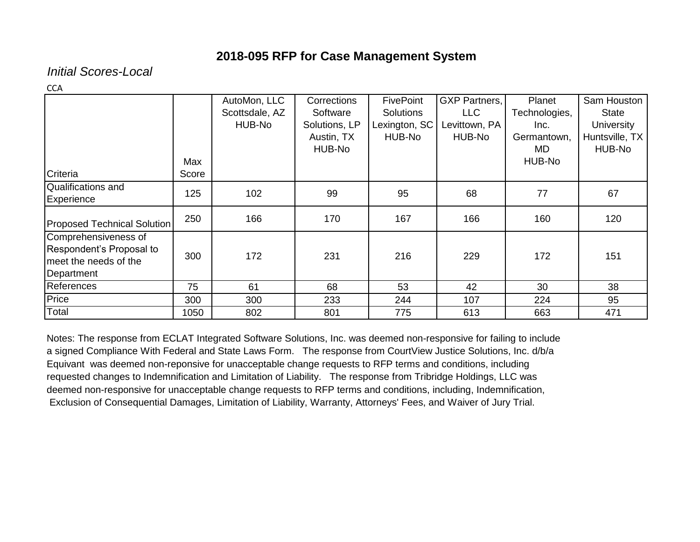*Initial Scores-Local*

**CCA** 

|                                    |       | AutoMon, LLC   | Corrections   | <b>FivePoint</b> | <b>GXP Partners,</b> | Planet        | Sam Houston    |
|------------------------------------|-------|----------------|---------------|------------------|----------------------|---------------|----------------|
|                                    |       | Scottsdale, AZ | Software      | <b>Solutions</b> | <b>LLC</b>           | Technologies, | <b>State</b>   |
|                                    |       | HUB-No         | Solutions, LP | Lexington, SC    | Levittown, PA        | Inc.          | University     |
|                                    |       |                | Austin, TX    | HUB-No           | HUB-No               | Germantown,   | Huntsville, TX |
|                                    |       |                | HUB-No        |                  |                      | MD.           | HUB-No         |
|                                    | Max   |                |               |                  |                      | HUB-No        |                |
| Criteria                           | Score |                |               |                  |                      |               |                |
| Qualifications and                 | 125   | 102            | 99            | 95               |                      | 77            | 67             |
| Experience                         |       |                |               |                  | 68                   |               |                |
| <b>Proposed Technical Solution</b> | 250   | 166            | 170           | 167              | 166                  | 160           | 120            |
| Comprehensiveness of               |       |                |               |                  |                      |               |                |
| Respondent's Proposal to           |       |                |               |                  |                      |               |                |
| meet the needs of the              | 300   | 172            | 231           | 216              | 229                  | 172           | 151            |
| Department                         |       |                |               |                  |                      |               |                |
| References                         | 75    | 61             | 68            | 53               | 42                   | 30            | 38             |
| Price                              | 300   | 300            | 233           | 244              | 107                  | 224           | 95             |
| Total                              | 1050  | 802            | 801           | 775              | 613                  | 663           | 471            |